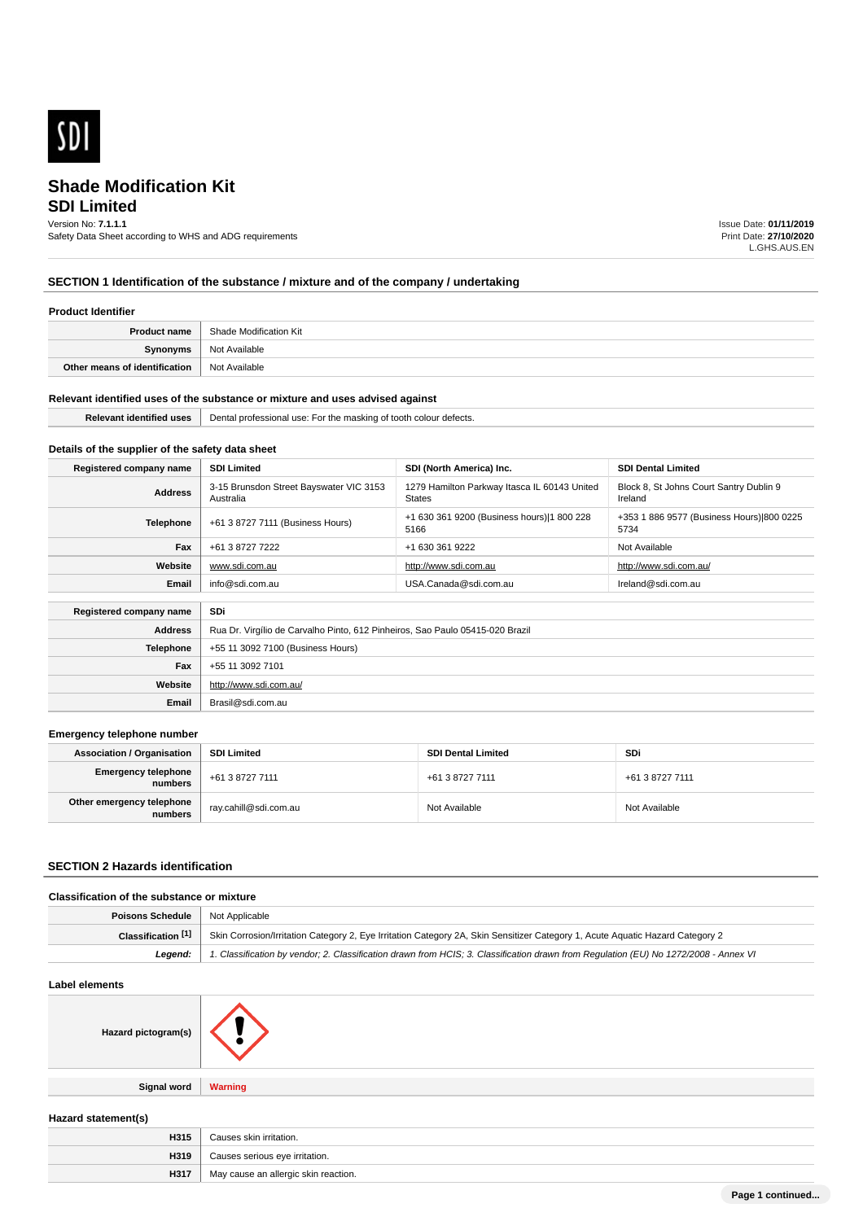

## **SDI Limited**

Version No: **7.1.1.1**

Safety Data Sheet according to WHS and ADG requirements

Issue Date: **01/11/2019** Print Date: **27/10/2020** L.GHS.AUS.EN

## **SECTION 1 Identification of the substance / mixture and of the company / undertaking**

### **Product Identifier**

| <b>Product name</b>           | Shade Modification Kit |
|-------------------------------|------------------------|
| Synonyms                      | Not Available          |
| Other means of identification | Not Available          |

### **Relevant identified uses of the substance or mixture and uses advised against**

| Palava | Dental<br>rotess<br>sional<br>skina c<br>. USE<br>າ⊺ τ∩∩τn_<br>i colour detects.<br>. |  |
|--------|---------------------------------------------------------------------------------------|--|
|        |                                                                                       |  |

## **Details of the supplier of the safety data sheet**

| Registered company name               | <b>SDI Limited</b>                                                            | SDI (North America) Inc.                                      | <b>SDI Dental Limited</b>                          |
|---------------------------------------|-------------------------------------------------------------------------------|---------------------------------------------------------------|----------------------------------------------------|
| <b>Address</b>                        | 3-15 Brunsdon Street Bayswater VIC 3153<br>Australia                          | 1279 Hamilton Parkway Itasca IL 60143 United<br><b>States</b> | Block 8, St Johns Court Santry Dublin 9<br>Ireland |
| <b>Telephone</b>                      | +61 3 8727 7111 (Business Hours)                                              | +1 630 361 9200 (Business hours) 1 800 228<br>5166            | +353 1 886 9577 (Business Hours) 800 0225<br>5734  |
| Fax                                   | +61 3 8727 7222                                                               | +1 630 361 9222                                               | Not Available                                      |
| Website                               | www.sdi.com.au                                                                | http://www.sdi.com.au                                         | http://www.sdi.com.au/                             |
| Email                                 | info@sdi.com.au                                                               | USA.Canada@sdi.com.au                                         | Ireland@sdi.com.au                                 |
| <b>SDi</b><br>Registered company name |                                                                               |                                                               |                                                    |
| <b>Address</b>                        | Rua Dr. Virgílio de Carvalho Pinto, 612 Pinheiros, Sao Paulo 05415-020 Brazil |                                                               |                                                    |
| <b>Telephone</b>                      | +55 11 3092 7100 (Business Hours)                                             |                                                               |                                                    |
| Fax                                   | +55 11 3092 7101                                                              |                                                               |                                                    |
| Website                               | http://www.sdi.com.au/                                                        |                                                               |                                                    |

### **Emergency telephone number**

| <b>Association / Organisation</b>     | <b>SDI Limited</b>    | <b>SDI Dental Limited</b> | SDi             |
|---------------------------------------|-----------------------|---------------------------|-----------------|
| <b>Emergency telephone</b><br>numbers | +61 3 8727 7111       | +61 3 8727 7111           | +61 3 8727 7111 |
| Other emergency telephone<br>numbers  | ray.cahill@sdi.com.au | Not Available             | Not Available   |

### **SECTION 2 Hazards identification**

### **Classification of the substance or mixture**

| <b>Poisons Schedule</b>   Not Applicable |                                                                                                                                      |
|------------------------------------------|--------------------------------------------------------------------------------------------------------------------------------------|
| Classification [1]                       | Skin Corrosion/Irritation Category 2, Eye Irritation Category 2A, Skin Sensitizer Category 1, Acute Aguatic Hazard Category 2        |
| Leaend:                                  | 1. Classification by vendor; 2. Classification drawn from HCIS; 3. Classification drawn from Requlation (EU) No 1272/2008 - Annex VI |

### **Label elements**

| Hazard pictogram(s) |                |
|---------------------|----------------|
| Signal word         | <b>Warning</b> |

**Email** Brasil@sdi.com.au

### **Hazard statement(s)**

| H315 | Causes skin irritation.              |
|------|--------------------------------------|
| H319 | Causes serious eye irritation.       |
| H317 | May cause an allergic skin reaction. |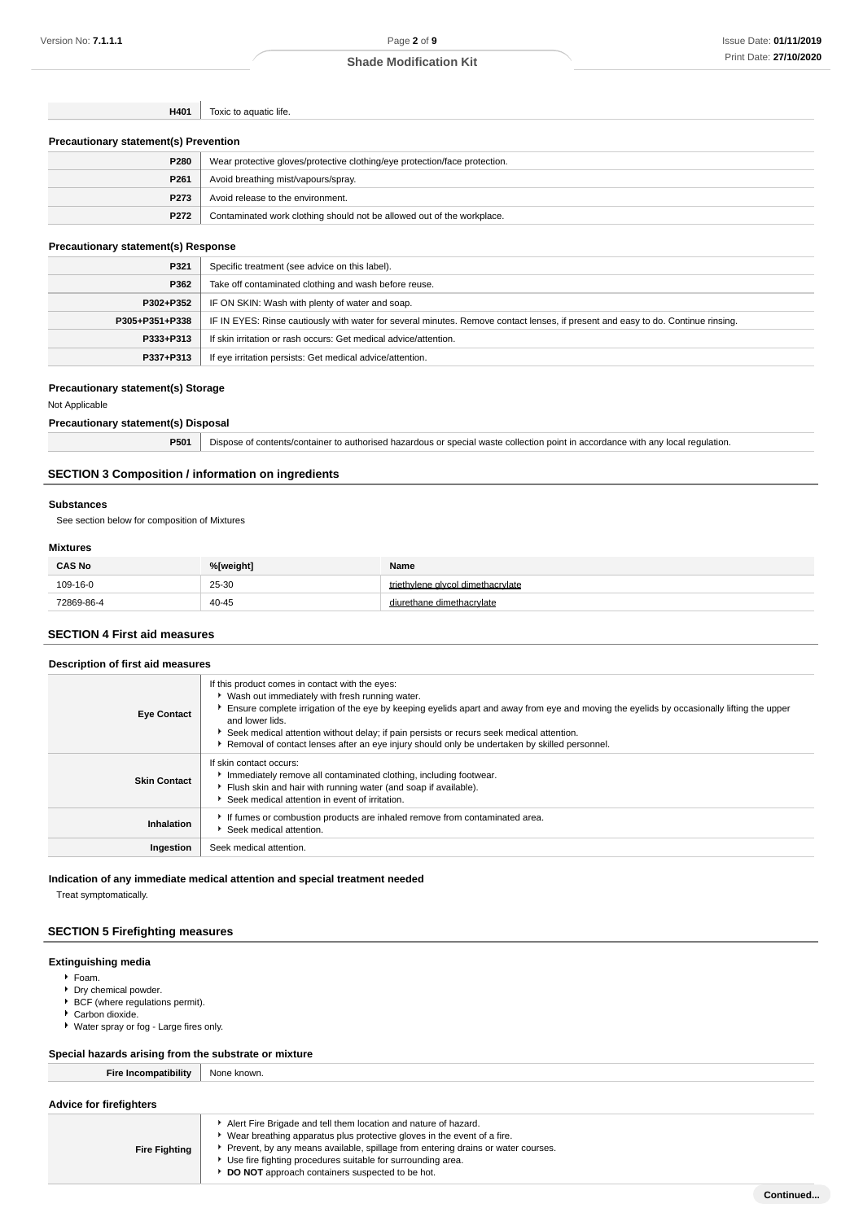**H401** Toxic to aquatic life.

| <b>Precautionary statement(s) Prevention</b> |                                                                            |  |
|----------------------------------------------|----------------------------------------------------------------------------|--|
| P280                                         | Wear protective gloves/protective clothing/eye protection/face protection. |  |
| P <sub>261</sub>                             | Avoid breathing mist/vapours/spray.                                        |  |
| P273                                         | Avoid release to the environment.                                          |  |
| P272                                         | Contaminated work clothing should not be allowed out of the workplace.     |  |

### **Precautionary statement(s) Response**

| P321           | Specific treatment (see advice on this label).                                                                                   |
|----------------|----------------------------------------------------------------------------------------------------------------------------------|
| P362           | Take off contaminated clothing and wash before reuse.                                                                            |
| P302+P352      | IF ON SKIN: Wash with plenty of water and soap.                                                                                  |
| P305+P351+P338 | IF IN EYES: Rinse cautiously with water for several minutes. Remove contact lenses, if present and easy to do. Continue rinsing. |
| P333+P313      | If skin irritation or rash occurs: Get medical advice/attention.                                                                 |
| P337+P313      | If eye irritation persists: Get medical advice/attention.                                                                        |

### **Precautionary statement(s) Storage**

Not Applicable

### **Precautionary statement(s) Disposal**

|  | P501   Dispose of contents/container to authorised hazardous or special waste collection point in accordance with any local regulation. |
|--|-----------------------------------------------------------------------------------------------------------------------------------------|
|--|-----------------------------------------------------------------------------------------------------------------------------------------|

## **SECTION 3 Composition / information on ingredients**

### **Substances**

See section below for composition of Mixtures

### **Mixtures**

| <b>CAS No</b> | %[weight] | Name                              |
|---------------|-----------|-----------------------------------|
| 109-16-0      | 25-30     | triethylene glycol dimethacrylate |
| 72869-86-4    | 40-45     |                                   |

### **SECTION 4 First aid measures**

### **Description of first aid measures**

| <b>Eye Contact</b>  | If this product comes in contact with the eyes:<br>▶ Wash out immediately with fresh running water.<br>Ensure complete irrigation of the eye by keeping eyelids apart and away from eye and moving the eyelids by occasionally lifting the upper<br>and lower lids.<br>Seek medical attention without delay; if pain persists or recurs seek medical attention.<br>Removal of contact lenses after an eye injury should only be undertaken by skilled personnel. |  |
|---------------------|------------------------------------------------------------------------------------------------------------------------------------------------------------------------------------------------------------------------------------------------------------------------------------------------------------------------------------------------------------------------------------------------------------------------------------------------------------------|--|
| <b>Skin Contact</b> | If skin contact occurs:<br>Immediately remove all contaminated clothing, including footwear.<br>Flush skin and hair with running water (and soap if available).<br>Seek medical attention in event of irritation.                                                                                                                                                                                                                                                |  |
| Inhalation          | If fumes or combustion products are inhaled remove from contaminated area.<br>Seek medical attention.                                                                                                                                                                                                                                                                                                                                                            |  |
| Ingestion           | Seek medical attention.                                                                                                                                                                                                                                                                                                                                                                                                                                          |  |

### **Indication of any immediate medical attention and special treatment needed**

Treat symptomatically.

## **SECTION 5 Firefighting measures**

## **Extinguishing media**

- Foam.
- Dry chemical powder.
- ▶ BCF (where regulations permit).
- ▶ Carbon dioxide.
- Water spray or fog Large fires only.

## **Special hazards arising from the substrate or mixture**

| <b>Fire Incompatibility</b>    | None known. |
|--------------------------------|-------------|
| <b>Advice for firefighters</b> |             |

| <b>Fire Fighting</b> | Alert Fire Brigade and tell them location and nature of hazard.<br>Wear breathing apparatus plus protective gloves in the event of a fire.<br>Prevent, by any means available, spillage from entering drains or water courses.<br>Use fire fighting procedures suitable for surrounding area.<br>DO NOT approach containers suspected to be hot. |
|----------------------|--------------------------------------------------------------------------------------------------------------------------------------------------------------------------------------------------------------------------------------------------------------------------------------------------------------------------------------------------|
|----------------------|--------------------------------------------------------------------------------------------------------------------------------------------------------------------------------------------------------------------------------------------------------------------------------------------------------------------------------------------------|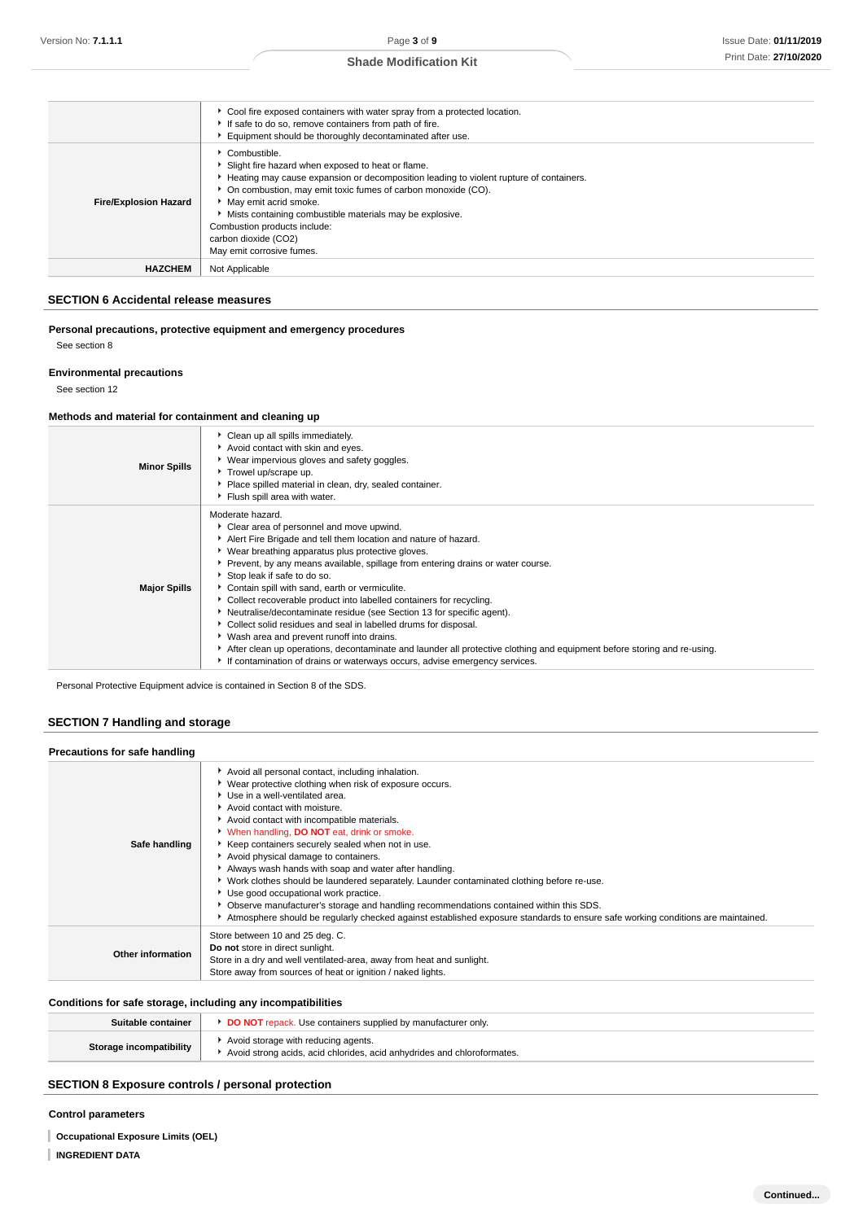|                              | • Cool fire exposed containers with water spray from a protected location.<br>If safe to do so, remove containers from path of fire.<br>Equipment should be thoroughly decontaminated after use.                                                                                                                                                                                                                         |
|------------------------------|--------------------------------------------------------------------------------------------------------------------------------------------------------------------------------------------------------------------------------------------------------------------------------------------------------------------------------------------------------------------------------------------------------------------------|
| <b>Fire/Explosion Hazard</b> | $\triangleright$ Combustible.<br>Slight fire hazard when exposed to heat or flame.<br>Heating may cause expansion or decomposition leading to violent rupture of containers.<br>• On combustion, may emit toxic fumes of carbon monoxide (CO).<br>May emit acrid smoke.<br>Mists containing combustible materials may be explosive.<br>Combustion products include:<br>carbon dioxide (CO2)<br>May emit corrosive fumes. |
| <b>HAZCHEM</b>               | Not Applicable                                                                                                                                                                                                                                                                                                                                                                                                           |

## **SECTION 6 Accidental release measures**

**Personal precautions, protective equipment and emergency procedures**

See section 8

### **Environmental precautions**

See section 12

### **Methods and material for containment and cleaning up**

| <b>Minor Spills</b> | Clean up all spills immediately.<br>Avoid contact with skin and eyes.<br>▶ Wear impervious gloves and safety goggles.<br>Trowel up/scrape up.<br>Place spilled material in clean, dry, sealed container.<br>Flush spill area with water.                                                                                                                                                                                                                                                                                                                                                                                                                                                                                                                                                                                               |
|---------------------|----------------------------------------------------------------------------------------------------------------------------------------------------------------------------------------------------------------------------------------------------------------------------------------------------------------------------------------------------------------------------------------------------------------------------------------------------------------------------------------------------------------------------------------------------------------------------------------------------------------------------------------------------------------------------------------------------------------------------------------------------------------------------------------------------------------------------------------|
| <b>Major Spills</b> | Moderate hazard.<br>Clear area of personnel and move upwind.<br>Alert Fire Brigade and tell them location and nature of hazard.<br>▶ Wear breathing apparatus plus protective gloves.<br>▶ Prevent, by any means available, spillage from entering drains or water course.<br>Stop leak if safe to do so.<br>Contain spill with sand, earth or vermiculite.<br>Collect recoverable product into labelled containers for recycling.<br>Neutralise/decontaminate residue (see Section 13 for specific agent).<br>Collect solid residues and seal in labelled drums for disposal.<br>▶ Wash area and prevent runoff into drains.<br>After clean up operations, decontaminate and launder all protective clothing and equipment before storing and re-using.<br>If contamination of drains or waterways occurs, advise emergency services. |

Personal Protective Equipment advice is contained in Section 8 of the SDS.

## **SECTION 7 Handling and storage**

| Precautions for safe handling |                                                                                                                                                                                                                                                                                                                                                                                                                                                                                                                                                                                                                                                                                                                                                                                                            |  |  |  |
|-------------------------------|------------------------------------------------------------------------------------------------------------------------------------------------------------------------------------------------------------------------------------------------------------------------------------------------------------------------------------------------------------------------------------------------------------------------------------------------------------------------------------------------------------------------------------------------------------------------------------------------------------------------------------------------------------------------------------------------------------------------------------------------------------------------------------------------------------|--|--|--|
| Safe handling                 | Avoid all personal contact, including inhalation.<br>▶ Wear protective clothing when risk of exposure occurs.<br>▶ Use in a well-ventilated area.<br>Avoid contact with moisture.<br>Avoid contact with incompatible materials.<br>V When handling, DO NOT eat, drink or smoke.<br>Keep containers securely sealed when not in use.<br>Avoid physical damage to containers.<br>Always wash hands with soap and water after handling.<br>▶ Work clothes should be laundered separately. Launder contaminated clothing before re-use.<br>Use good occupational work practice.<br>• Observe manufacturer's storage and handling recommendations contained within this SDS.<br>Atmosphere should be regularly checked against established exposure standards to ensure safe working conditions are maintained. |  |  |  |
| Other information             | Store between 10 and 25 deg. C.<br>Do not store in direct sunlight.<br>Store in a dry and well ventilated-area, away from heat and sunlight.<br>Store away from sources of heat or ignition / naked lights.                                                                                                                                                                                                                                                                                                                                                                                                                                                                                                                                                                                                |  |  |  |

## **Conditions for safe storage, including any incompatibilities**

| Suitable container      | <b>DO NOT</b> repack. Use containers supplied by manufacturer only.                                            |
|-------------------------|----------------------------------------------------------------------------------------------------------------|
| Storage incompatibility | Avoid storage with reducing agents.<br>Avoid strong acids, acid chlorides, acid anhydrides and chloroformates. |

## **SECTION 8 Exposure controls / personal protection**

### **Control parameters**

**Occupational Exposure Limits (OEL)**

**INGREDIENT DATA**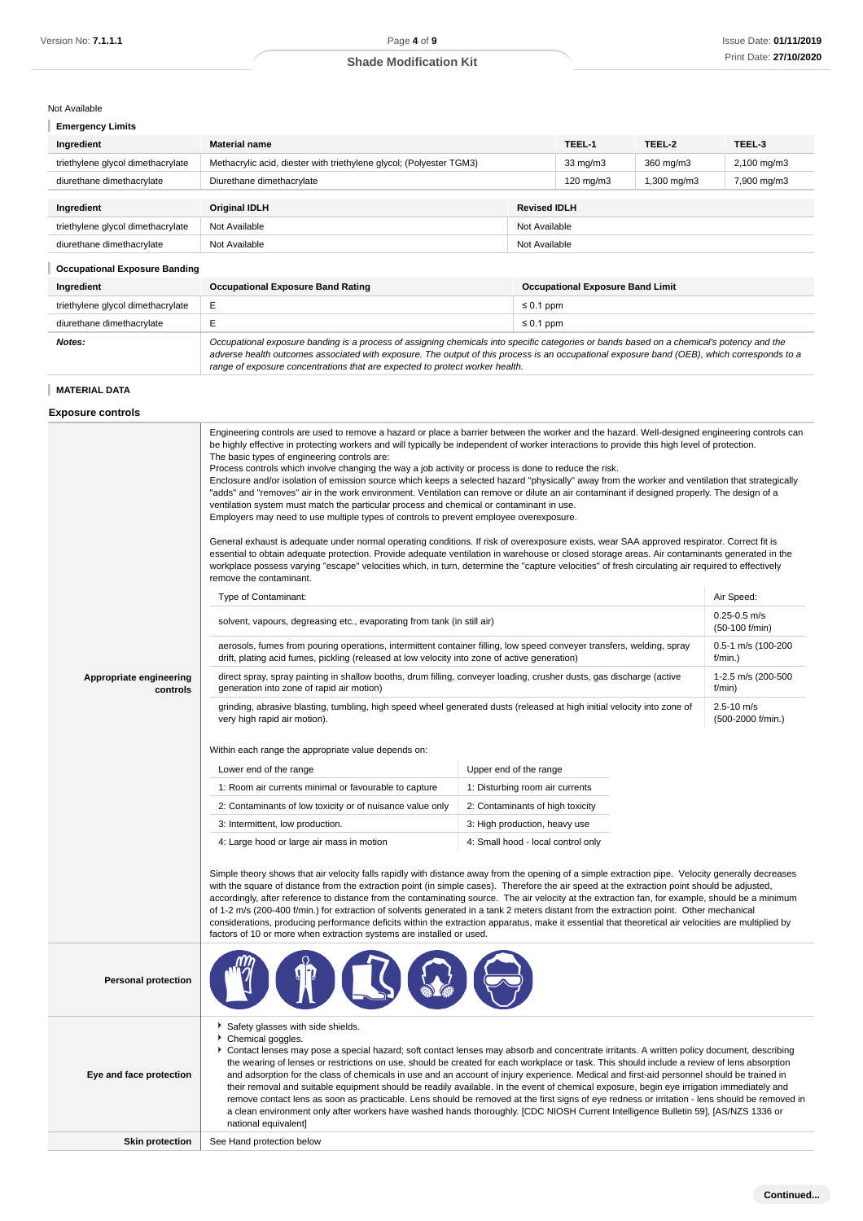### Not Available

|  |  | <b>Emergency Limits</b> |  |
|--|--|-------------------------|--|
|  |  |                         |  |

| <b>Shade Modification Kit</b> | Print Date: 27/10/ |
|-------------------------------|--------------------|
|                               |                    |

| Ingredient                                                | <b>Material name</b>                                                |               | TEEL-1             | TEEL-2      | TEEL-3                 |
|-----------------------------------------------------------|---------------------------------------------------------------------|---------------|--------------------|-------------|------------------------|
| triethylene glycol dimethacrylate                         | Methacrylic acid, diester with triethylene glycol; (Polyester TGM3) |               | $33 \text{ mg/m}$  | 360 mg/m3   | $2,100 \text{ mg/m}$ 3 |
| diurethane dimethacrylate                                 | Diurethane dimethacrylate                                           |               | $120 \text{ mg/m}$ | 1,300 mg/m3 | 7,900 mg/m3            |
| <b>Revised IDLH</b><br><b>Original IDLH</b><br>Ingredient |                                                                     |               |                    |             |                        |
| triethylene glycol dimethacrylate                         | Not Available                                                       | Not Available |                    |             |                        |
| diurethane dimethacrylate                                 | Not Available                                                       | Not Available |                    |             |                        |

### **Occupational Exposure Banding**

| Ingredient                        | <b>Occupational Exposure Band Rating</b>                                                                                                                                                                                                                                                                                                                                 | <b>Occupational Exposure Band Limit</b> |  |
|-----------------------------------|--------------------------------------------------------------------------------------------------------------------------------------------------------------------------------------------------------------------------------------------------------------------------------------------------------------------------------------------------------------------------|-----------------------------------------|--|
| triethylene glycol dimethacrylate | E.                                                                                                                                                                                                                                                                                                                                                                       | $\leq 0.1$ ppm                          |  |
| diurethane dimethacrylate         |                                                                                                                                                                                                                                                                                                                                                                          | $\leq 0.1$ ppm                          |  |
| Notes:                            | Occupational exposure banding is a process of assigning chemicals into specific categories or bands based on a chemical's potency and the<br>adverse health outcomes associated with exposure. The output of this process is an occupational exposure band (OEB), which corresponds to a<br>range of exposure concentrations that are expected to protect worker health. |                                         |  |

### **MATERIAL DATA**

### **Exposure controls**

**Appropriate engineering controls** Engineering controls are used to remove a hazard or place a barrier between the worker and the hazard. Well-designed engineering controls can be highly effective in protecting workers and will typically be independent of worker interactions to provide this high level of protection. The basic types of engineering controls are: Process controls which involve changing the way a job activity or process is done to reduce the risk. Enclosure and/or isolation of emission source which keeps a selected hazard "physically" away from the worker and ventilation that strategically "adds" and "removes" air in the work environment. Ventilation can remove or dilute an air contaminant if designed properly. The design of a ventilation system must match the particular process and chemical or contaminant in use. Employers may need to use multiple types of controls to prevent employee overexposure. General exhaust is adequate under normal operating conditions. If risk of overexposure exists, wear SAA approved respirator. Correct fit is essential to obtain adequate protection. Provide adequate ventilation in warehouse or closed storage areas. Air contaminants generated in the workplace possess varying "escape" velocities which, in turn, determine the "capture velocities" of fresh circulating air required to effectively remove the contaminant. Type of Contaminant: Air Speed: Air Speed: Air Speed: Air Speed: Air Speed: Air Speed: Air Speed: Air Speed: Air Speed: Air Speed: Air Speed: Air Speed: Air Speed: Air Speed: Air Speed: Air Speed: Air Speed: Air Speed: Air solvent, vapours, degreasing etc., evaporating from tank (in still air) 0.25-0.5 m/s (50-100 f/min) aerosols, fumes from pouring operations, intermittent container filling, low speed conveyer transfers, welding, spray drift, plating acid fumes, pickling (released at low velocity into zone of active generation) 0.5-1 m/s (100-200 f/min.) direct spray, spray painting in shallow booths, drum filling, conveyer loading, crusher dusts, gas discharge (active generation into zone of rapid air motion) 1-2.5 m/s (200-500 f/min) grinding, abrasive blasting, tumbling, high speed wheel generated dusts (released at high initial velocity into zone of very high rapid air motion). 2.5-10 m/s (500-2000 f/min.) Within each range the appropriate value depends on: Lower end of the range Upper end of the range 1: Room air currents minimal or favourable to capture 1: Disturbing room air currents 2: Contaminants of low toxicity or of nuisance value only 2: Contaminants of high toxicity 3: Intermittent, low production.  $\overline{3}$ : High production, heavy use 4: Large hood or large air mass in motion 4: Small hood - local control only Simple theory shows that air velocity falls rapidly with distance away from the opening of a simple extraction pipe. Velocity generally decreases with the square of distance from the extraction point (in simple cases). Therefore the air speed at the extraction point should be adjusted, accordingly, after reference to distance from the contaminating source. The air velocity at the extraction fan, for example, should be a minimum of 1-2 m/s (200-400 f/min.) for extraction of solvents generated in a tank 2 meters distant from the extraction point. Other mechanical considerations, producing performance deficits within the extraction apparatus, make it essential that theoretical air velocities are multiplied by factors of 10 or more when extraction systems are installed or used. **Personal protection Eye and face protection** Safety glasses with side shields. Chemical goggles. Contact lenses may pose a special hazard; soft contact lenses may absorb and concentrate irritants. A written policy document, describing the wearing of lenses or restrictions on use, should be created for each workplace or task. This should include a review of lens absorption and adsorption for the class of chemicals in use and an account of injury experience. Medical and first-aid personnel should be trained in their removal and suitable equipment should be readily available. In the event of chemical exposure, begin eye irrigation immediately and remove contact lens as soon as practicable. Lens should be removed at the first signs of eye redness or irritation - lens should be removed in a clean environment only after workers have washed hands thoroughly. [CDC NIOSH Current Intelligence Bulletin 59], [AS/NZS 1336 or national equivalent] **Skin protection** See Hand protection below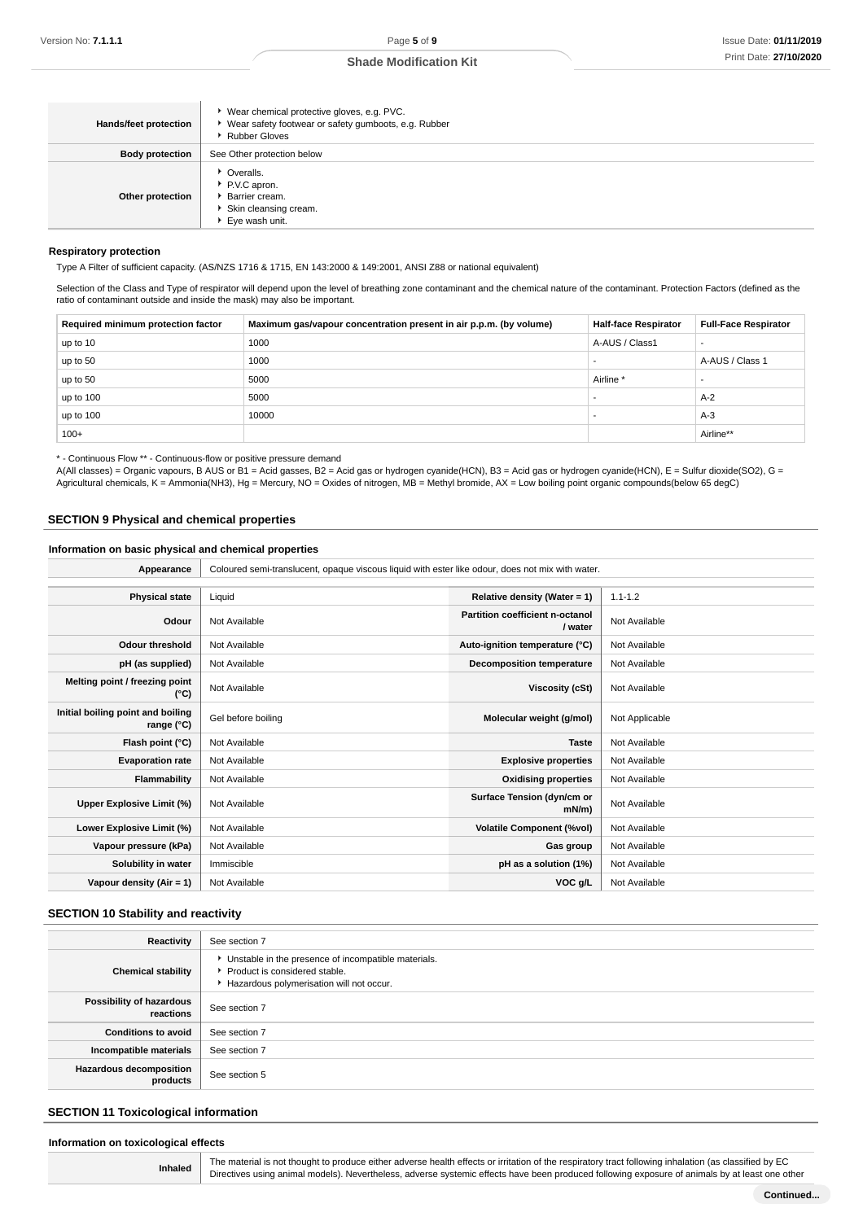| Hands/feet protection  | Wear chemical protective gloves, e.g. PVC.<br>▶ Wear safety footwear or safety gumboots, e.g. Rubber<br><b>Rubber Gloves</b> |
|------------------------|------------------------------------------------------------------------------------------------------------------------------|
| <b>Body protection</b> | See Other protection below                                                                                                   |
| Other protection       | • Overalls.<br>P.V.C apron.<br>Barrier cream.<br>Skin cleansing cream.<br>Eye wash unit.                                     |

### **Respiratory protection**

Type A Filter of sufficient capacity. (AS/NZS 1716 & 1715, EN 143:2000 & 149:2001, ANSI Z88 or national equivalent)

Selection of the Class and Type of respirator will depend upon the level of breathing zone contaminant and the chemical nature of the contaminant. Protection Factors (defined as the ratio of contaminant outside and inside the mask) may also be important.

| Required minimum protection factor | Maximum gas/vapour concentration present in air p.p.m. (by volume) | <b>Half-face Respirator</b> | <b>Full-Face Respirator</b> |
|------------------------------------|--------------------------------------------------------------------|-----------------------------|-----------------------------|
| up to 10                           | 1000                                                               | A-AUS / Class1              |                             |
| up to 50                           | 1000                                                               |                             | A-AUS / Class 1             |
| up to 50                           | 5000                                                               | Airline                     | -                           |
| up to 100                          | 5000                                                               |                             | $A-2$                       |
| up to 100                          | 10000                                                              |                             | $A-3$                       |
| $100+$                             |                                                                    |                             | Airline**                   |

\* - Continuous Flow \*\* - Continuous-flow or positive pressure demand

A(All classes) = Organic vapours, B AUS or B1 = Acid gasses, B2 = Acid gas or hydrogen cyanide(HCN), B3 = Acid gas or hydrogen cyanide(HCN), E = Sulfur dioxide(SO2), G = Agricultural chemicals, K = Ammonia(NH3), Hg = Mercury, NO = Oxides of nitrogen, MB = Methyl bromide, AX = Low boiling point organic compounds(below 65 degC)

### **SECTION 9 Physical and chemical properties**

### **Information on basic physical and chemical properties**

| Appearance                                      | Coloured semi-translucent, opaque viscous liquid with ester like odour, does not mix with water. |                                            |                |
|-------------------------------------------------|--------------------------------------------------------------------------------------------------|--------------------------------------------|----------------|
|                                                 |                                                                                                  |                                            |                |
| <b>Physical state</b>                           | Liquid                                                                                           | Relative density (Water = 1)               | $1.1 - 1.2$    |
| Odour                                           | Not Available                                                                                    | Partition coefficient n-octanol<br>/ water | Not Available  |
| <b>Odour threshold</b>                          | Not Available                                                                                    | Auto-ignition temperature (°C)             | Not Available  |
| pH (as supplied)                                | Not Available                                                                                    | <b>Decomposition temperature</b>           | Not Available  |
| Melting point / freezing point<br>(°C)          | Not Available                                                                                    | Viscosity (cSt)                            | Not Available  |
| Initial boiling point and boiling<br>range (°C) | Gel before boiling                                                                               | Molecular weight (g/mol)                   | Not Applicable |
| Flash point (°C)                                | Not Available                                                                                    | <b>Taste</b>                               | Not Available  |
| <b>Evaporation rate</b>                         | Not Available                                                                                    | <b>Explosive properties</b>                | Not Available  |
| <b>Flammability</b>                             | Not Available                                                                                    | <b>Oxidising properties</b>                | Not Available  |
| Upper Explosive Limit (%)                       | Not Available                                                                                    | Surface Tension (dyn/cm or<br>$mN/m$ )     | Not Available  |
| Lower Explosive Limit (%)                       | Not Available                                                                                    | <b>Volatile Component (%vol)</b>           | Not Available  |
| Vapour pressure (kPa)                           | Not Available                                                                                    | Gas group                                  | Not Available  |
| Solubility in water                             | Immiscible                                                                                       | pH as a solution (1%)                      | Not Available  |
| Vapour density (Air = 1)                        | Not Available                                                                                    | VOC g/L                                    | Not Available  |

### **SECTION 10 Stability and reactivity**

| Reactivity                                 | See section 7                                                                                                                    |
|--------------------------------------------|----------------------------------------------------------------------------------------------------------------------------------|
| <b>Chemical stability</b>                  | Unstable in the presence of incompatible materials.<br>Product is considered stable.<br>Hazardous polymerisation will not occur. |
| Possibility of hazardous<br>reactions      | See section 7                                                                                                                    |
| <b>Conditions to avoid</b>                 | See section 7                                                                                                                    |
| Incompatible materials                     | See section 7                                                                                                                    |
| <b>Hazardous decomposition</b><br>products | See section 5                                                                                                                    |

### **SECTION 11 Toxicological information**

| Information on toxicological effects |                                                                                                                                |
|--------------------------------------|--------------------------------------------------------------------------------------------------------------------------------|
|                                      | The material is not thought to produce either adverse health effects or irritation of the respiratory tract following inhalati |

The material is not thought to produce either adverse health effects or irritation of the respiratory tract following inhalation (as classified by EC<br>Directives using animal models). Nevertheless, adverse systemic effects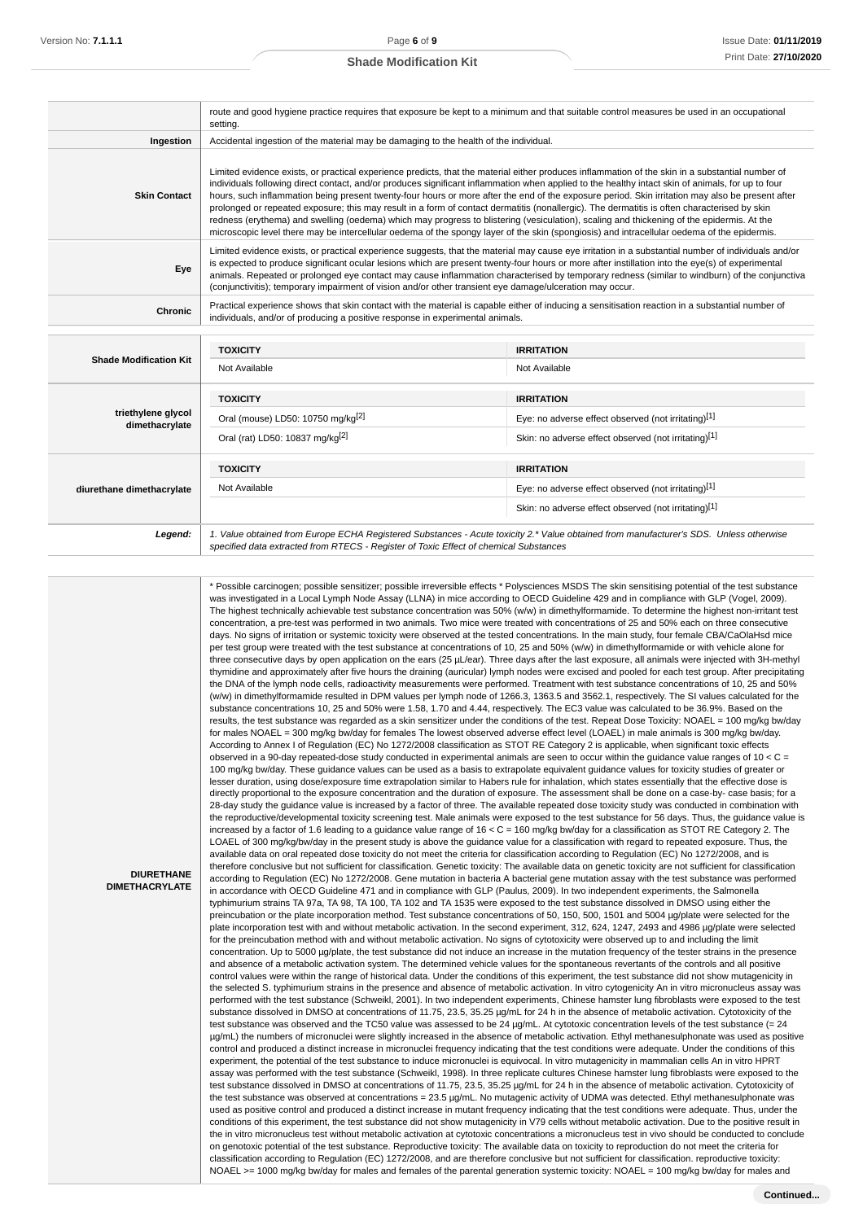Ī

### **Shade Modification Kit**

|                                      | route and good hygiene practice requires that exposure be kept to a minimum and that suitable control measures be used in an occupational<br>setting.                                                                                                                                                                                                                                                                                                                                                                                                                                                                                                                                                                                                                                                                                                                                                 |                                                                                                                                        |  |
|--------------------------------------|-------------------------------------------------------------------------------------------------------------------------------------------------------------------------------------------------------------------------------------------------------------------------------------------------------------------------------------------------------------------------------------------------------------------------------------------------------------------------------------------------------------------------------------------------------------------------------------------------------------------------------------------------------------------------------------------------------------------------------------------------------------------------------------------------------------------------------------------------------------------------------------------------------|----------------------------------------------------------------------------------------------------------------------------------------|--|
| Ingestion                            | Accidental ingestion of the material may be damaging to the health of the individual.                                                                                                                                                                                                                                                                                                                                                                                                                                                                                                                                                                                                                                                                                                                                                                                                                 |                                                                                                                                        |  |
| <b>Skin Contact</b>                  | Limited evidence exists, or practical experience predicts, that the material either produces inflammation of the skin in a substantial number of<br>individuals following direct contact, and/or produces significant inflammation when applied to the healthy intact skin of animals, for up to four<br>hours, such inflammation being present twenty-four hours or more after the end of the exposure period. Skin irritation may also be present after<br>prolonged or repeated exposure; this may result in a form of contact dermatitis (nonallergic). The dermatitis is often characterised by skin<br>redness (erythema) and swelling (oedema) which may progress to blistering (vesiculation), scaling and thickening of the epidermis. At the<br>microscopic level there may be intercellular oedema of the spongy layer of the skin (spongiosis) and intracellular oedema of the epidermis. |                                                                                                                                        |  |
| Eye                                  | Limited evidence exists, or practical experience suggests, that the material may cause eye irritation in a substantial number of individuals and/or<br>is expected to produce significant ocular lesions which are present twenty-four hours or more after instillation into the eye(s) of experimental<br>animals. Repeated or prolonged eye contact may cause inflammation characterised by temporary redness (similar to windburn) of the conjunctiva<br>(conjunctivitis); temporary impairment of vision and/or other transient eye damage/ulceration may occur.                                                                                                                                                                                                                                                                                                                                  |                                                                                                                                        |  |
| <b>Chronic</b>                       | Practical experience shows that skin contact with the material is capable either of inducing a sensitisation reaction in a substantial number of<br>individuals, and/or of producing a positive response in experimental animals.                                                                                                                                                                                                                                                                                                                                                                                                                                                                                                                                                                                                                                                                     |                                                                                                                                        |  |
|                                      | <b>TOXICITY</b>                                                                                                                                                                                                                                                                                                                                                                                                                                                                                                                                                                                                                                                                                                                                                                                                                                                                                       | <b>IRRITATION</b>                                                                                                                      |  |
| <b>Shade Modification Kit</b>        | Not Available                                                                                                                                                                                                                                                                                                                                                                                                                                                                                                                                                                                                                                                                                                                                                                                                                                                                                         | Not Available                                                                                                                          |  |
|                                      | <b>TOXICITY</b>                                                                                                                                                                                                                                                                                                                                                                                                                                                                                                                                                                                                                                                                                                                                                                                                                                                                                       | <b>IRRITATION</b>                                                                                                                      |  |
| triethylene glycol<br>dimethacrylate | Oral (mouse) LD50: 10750 mg/kg <sup>[2]</sup>                                                                                                                                                                                                                                                                                                                                                                                                                                                                                                                                                                                                                                                                                                                                                                                                                                                         | Eye: no adverse effect observed (not irritating)[1]                                                                                    |  |
|                                      | Oral (rat) LD50: 10837 mg/kg <sup>[2]</sup>                                                                                                                                                                                                                                                                                                                                                                                                                                                                                                                                                                                                                                                                                                                                                                                                                                                           | Skin: no adverse effect observed (not irritating)[1]                                                                                   |  |
|                                      | <b>TOXICITY</b>                                                                                                                                                                                                                                                                                                                                                                                                                                                                                                                                                                                                                                                                                                                                                                                                                                                                                       | <b>IRRITATION</b>                                                                                                                      |  |
| diurethane dimethacrylate            | Not Available                                                                                                                                                                                                                                                                                                                                                                                                                                                                                                                                                                                                                                                                                                                                                                                                                                                                                         | Eye: no adverse effect observed (not irritating)[1]                                                                                    |  |
|                                      |                                                                                                                                                                                                                                                                                                                                                                                                                                                                                                                                                                                                                                                                                                                                                                                                                                                                                                       | Skin: no adverse effect observed (not irritating)[1]                                                                                   |  |
| Legend:                              | specified data extracted from RTECS - Register of Toxic Effect of chemical Substances                                                                                                                                                                                                                                                                                                                                                                                                                                                                                                                                                                                                                                                                                                                                                                                                                 | 1. Value obtained from Europe ECHA Registered Substances - Acute toxicity 2.* Value obtained from manufacturer's SDS. Unless otherwise |  |

| <b>DIURETHANE</b><br><b>DIMETHACRYLATE</b> | * Possible carcinogen; possible sensitizer; possible irreversible effects * Polysciences MSDS The skin sensitising potential of the test substance<br>was investigated in a Local Lymph Node Assay (LLNA) in mice according to OECD Guideline 429 and in compliance with GLP (Vogel, 2009).<br>The highest technically achievable test substance concentration was 50% (w/w) in dimethylformamide. To determine the highest non-irritant test<br>concentration, a pre-test was performed in two animals. Two mice were treated with concentrations of 25 and 50% each on three consecutive<br>days. No signs of irritation or systemic toxicity were observed at the tested concentrations. In the main study, four female CBA/CaOlaHsd mice<br>per test group were treated with the test substance at concentrations of 10, 25 and 50% (w/w) in dimethylformamide or with vehicle alone for<br>three consecutive days by open application on the ears (25 µL/ear). Three days after the last exposure, all animals were injected with 3H-methyl<br>thymidine and approximately after five hours the draining (auricular) lymph nodes were excised and pooled for each test group. After precipitating<br>the DNA of the lymph node cells, radioactivity measurements were performed. Treatment with test substance concentrations of 10, 25 and 50%<br>(w/w) in dimethylformamide resulted in DPM values per lymph node of 1266.3, 1363.5 and 3562.1, respectively. The SI values calculated for the<br>substance concentrations 10, 25 and 50% were 1.58, 1.70 and 4.44, respectively. The EC3 value was calculated to be 36.9%. Based on the<br>results, the test substance was regarded as a skin sensitizer under the conditions of the test. Repeat Dose Toxicity: NOAEL = 100 mg/kg bw/day<br>for males NOAEL = 300 mg/kg bw/day for females The lowest observed adverse effect level (LOAEL) in male animals is 300 mg/kg bw/day.<br>According to Annex I of Regulation (EC) No 1272/2008 classification as STOT RE Category 2 is applicable, when significant toxic effects<br>observed in a 90-day repeated-dose study conducted in experimental animals are seen to occur within the guidance value ranges of 10 < $C =$<br>100 mg/kg bw/day. These guidance values can be used as a basis to extrapolate equivalent guidance values for toxicity studies of greater or<br>lesser duration, using dose/exposure time extrapolation similar to Habers rule for inhalation, which states essentially that the effective dose is<br>directly proportional to the exposure concentration and the duration of exposure. The assessment shall be done on a case-by- case basis; for a<br>28-day study the guidance value is increased by a factor of three. The available repeated dose toxicity study was conducted in combination with<br>the reproductive/developmental toxicity screening test. Male animals were exposed to the test substance for 56 days. Thus, the guidance value is<br>increased by a factor of 1.6 leading to a guidance value range of $16 < C = 160$ mg/kg bw/day for a classification as STOT RE Category 2. The<br>LOAEL of 300 mg/kg/bw/day in the present study is above the guidance value for a classification with regard to repeated exposure. Thus, the<br>available data on oral repeated dose toxicity do not meet the criteria for classification according to Regulation (EC) No 1272/2008, and is<br>therefore conclusive but not sufficient for classification. Genetic toxicity: The available data on genetic toxicity are not sufficient for classification<br>according to Regulation (EC) No 1272/2008. Gene mutation in bacteria A bacterial gene mutation assay with the test substance was performed<br>in accordance with OECD Guideline 471 and in compliance with GLP (Paulus, 2009). In two independent experiments, the Salmonella<br>typhimurium strains TA 97a, TA 98, TA 100, TA 102 and TA 1535 were exposed to the test substance dissolved in DMSO using either the<br>preincubation or the plate incorporation method. Test substance concentrations of 50, 150, 500, 1501 and 5004 µg/plate were selected for the<br>plate incorporation test with and without metabolic activation. In the second experiment, 312, 624, 1247, 2493 and 4986 µg/plate were selected<br>for the preincubation method with and without metabolic activation. No signs of cytotoxicity were observed up to and including the limit<br>concentration. Up to 5000 µq/plate, the test substance did not induce an increase in the mutation frequency of the tester strains in the presence<br>and absence of a metabolic activation system. The determined vehicle values for the spontaneous revertants of the controls and all positive<br>control values were within the range of historical data. Under the conditions of this experiment, the test substance did not show mutagenicity in<br>the selected S. typhimurium strains in the presence and absence of metabolic activation. In vitro cytogenicity An in vitro micronucleus assay was<br>performed with the test substance (Schweikl, 2001). In two independent experiments, Chinese hamster lung fibroblasts were exposed to the test<br>substance dissolved in DMSO at concentrations of 11.75, 23.5, 35.25 µg/mL for 24 h in the absence of metabolic activation. Cytotoxicity of the<br>test substance was observed and the TC50 value was assessed to be 24 µg/mL. At cytotoxic concentration levels of the test substance (= 24<br>µg/mL) the numbers of micronuclei were slightly increased in the absence of metabolic activation. Ethyl methanesulphonate was used as positive<br>control and produced a distinct increase in micronuclei frequency indicating that the test conditions were adequate. Under the conditions of this<br>experiment, the potential of the test substance to induce micronuclei is equivocal. In vitro mutagenicity in mammalian cells An in vitro HPRT<br>assay was performed with the test substance (Schweikl, 1998). In three replicate cultures Chinese hamster lung fibroblasts were exposed to the<br>test substance dissolved in DMSO at concentrations of 11.75, 23.5, 35.25 µg/mL for 24 h in the absence of metabolic activation. Cytotoxicity of<br>the test substance was observed at concentrations = 23.5 µg/mL. No mutagenic activity of UDMA was detected. Ethyl methanesulphonate was<br>used as positive control and produced a distinct increase in mutant frequency indicating that the test conditions were adequate. Thus, under the<br>conditions of this experiment, the test substance did not show mutagenicity in V79 cells without metabolic activation. Due to the positive result in<br>the in vitro micronucleus test without metabolic activation at cytotoxic concentrations a micronucleus test in vivo should be conducted to conclude<br>on genotoxic potential of the test substance. Reproductive toxicity: The available data on toxicity to reproduction do not meet the criteria for<br>classification according to Regulation (EC) 1272/2008, and are therefore conclusive but not sufficient for classification. reproductive toxicity:<br>NOAEL >= 1000 mg/kg bw/day for males and females of the parental generation systemic toxicity: NOAEL = 100 mg/kg bw/day for males and |
|--------------------------------------------|---------------------------------------------------------------------------------------------------------------------------------------------------------------------------------------------------------------------------------------------------------------------------------------------------------------------------------------------------------------------------------------------------------------------------------------------------------------------------------------------------------------------------------------------------------------------------------------------------------------------------------------------------------------------------------------------------------------------------------------------------------------------------------------------------------------------------------------------------------------------------------------------------------------------------------------------------------------------------------------------------------------------------------------------------------------------------------------------------------------------------------------------------------------------------------------------------------------------------------------------------------------------------------------------------------------------------------------------------------------------------------------------------------------------------------------------------------------------------------------------------------------------------------------------------------------------------------------------------------------------------------------------------------------------------------------------------------------------------------------------------------------------------------------------------------------------------------------------------------------------------------------------------------------------------------------------------------------------------------------------------------------------------------------------------------------------------------------------------------------------------------------------------------------------------------------------------------------------------------------------------------------------------------------------------------------------------------------------------------------------------------------------------------------------------------------------------------------------------------------------------------------------------------------------------------------------------------------------------------------------------------------------------------------------------------------------------------------------------------------------------------------------------------------------------------------------------------------------------------------------------------------------------------------------------------------------------------------------------------------------------------------------------------------------------------------------------------------------------------------------------------------------------------------------------------------------------------------------------------------------------------------------------------------------------------------------------------------------------------------------------------------------------------------------------------------------------------------------------------------------------------------------------------------------------------------------------------------------------------------------------------------------------------------------------------------------------------------------------------------------------------------------------------------------------------------------------------------------------------------------------------------------------------------------------------------------------------------------------------------------------------------------------------------------------------------------------------------------------------------------------------------------------------------------------------------------------------------------------------------------------------------------------------------------------------------------------------------------------------------------------------------------------------------------------------------------------------------------------------------------------------------------------------------------------------------------------------------------------------------------------------------------------------------------------------------------------------------------------------------------------------------------------------------------------------------------------------------------------------------------------------------------------------------------------------------------------------------------------------------------------------------------------------------------------------------------------------------------------------------------------------------------------------------------------------------------------------------------------------------------------------------------------------------------------------------------------------------------------------------------------------------------------------------------------------------------------------------------------------------------------------------------------------------------------------------------------------------------------------------------------------------------------------------------------------------------------------------------------------------------------------------------------------------------------------------------------------------------------------------------------------------------------------------------------------------------------------------------------------------------------------------------------------------------------------------------------------------------------------------------------------------------------------------------------------------------------------------------------------------------------------------------------------------------------------------------------------------------------------------------------------------------------------------------------------------------------------------------------------------------------------------------------------------------------------------------------------------------------------------------------------------------------------------------------------------------------------------------------------------------------------------------------------------------------------------------------------------------------------------------------------------------------------------------------------------------------------------------------------------------------------------------------------------------------------------------------------------------------------------------------------------------------------------------------------------------------------------------------------------------------------------------------------------------------------------------------------------------------------------------------------|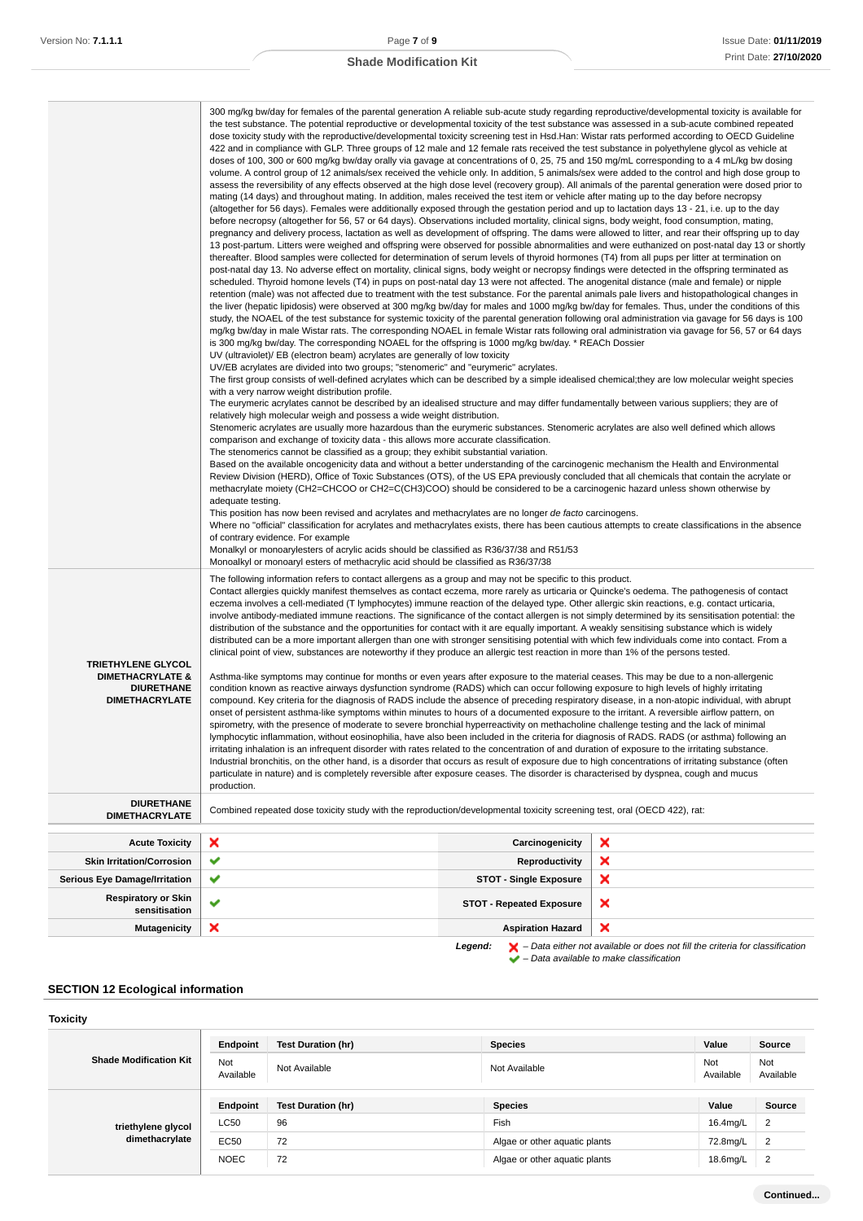|                                                                                                        | 300 mg/kg bw/day for females of the parental generation A reliable sub-acute study regarding reproductive/developmental toxicity is available for<br>the test substance. The potential reproductive or developmental toxicity of the test substance was assessed in a sub-acute combined repeated<br>dose toxicity study with the reproductive/developmental toxicity screening test in Hsd.Han: Wistar rats performed according to OECD Guideline<br>422 and in compliance with GLP. Three groups of 12 male and 12 female rats received the test substance in polyethylene glycol as vehicle at<br>doses of 100, 300 or 600 mg/kg bw/day orally via gavage at concentrations of 0, 25, 75 and 150 mg/mL corresponding to a 4 mL/kg bw dosing<br>volume. A control group of 12 animals/sex received the vehicle only. In addition, 5 animals/sex were added to the control and high dose group to<br>assess the reversibility of any effects observed at the high dose level (recovery group). All animals of the parental generation were dosed prior to<br>mating (14 days) and throughout mating. In addition, males received the test item or vehicle after mating up to the day before necropsy<br>(altogether for 56 days). Females were additionally exposed through the gestation period and up to lactation days 13 - 21, i.e. up to the day<br>before necropsy (altogether for 56, 57 or 64 days). Observations included mortality, clinical signs, body weight, food consumption, mating,<br>pregnancy and delivery process, lactation as well as development of offspring. The dams were allowed to litter, and rear their offspring up to day<br>13 post-partum. Litters were weighed and offspring were observed for possible abnormalities and were euthanized on post-natal day 13 or shortly<br>thereafter. Blood samples were collected for determination of serum levels of thyroid hormones (T4) from all pups per litter at termination on<br>post-natal day 13. No adverse effect on mortality, clinical signs, body weight or necropsy findings were detected in the offspring terminated as<br>scheduled. Thyroid homone levels (T4) in pups on post-natal day 13 were not affected. The anogenital distance (male and female) or nipple<br>retention (male) was not affected due to treatment with the test substance. For the parental animals pale livers and histopathological changes in<br>the liver (hepatic lipidosis) were observed at 300 mg/kg bw/day for males and 1000 mg/kg bw/day for females. Thus, under the conditions of this<br>study, the NOAEL of the test substance for systemic toxicity of the parental generation following oral administration via gavage for 56 days is 100<br>mg/kg bw/day in male Wistar rats. The corresponding NOAEL in female Wistar rats following oral administration via gavage for 56, 57 or 64 days<br>is 300 mg/kg bw/day. The corresponding NOAEL for the offspring is 1000 mg/kg bw/day. * REACh Dossier<br>UV (ultraviolet)/ EB (electron beam) acrylates are generally of low toxicity<br>UV/EB acrylates are divided into two groups; "stenomeric" and "eurymeric" acrylates.<br>The first group consists of well-defined acrylates which can be described by a simple idealised chemical; they are low molecular weight species<br>with a very narrow weight distribution profile.<br>The eurymeric acrylates cannot be described by an idealised structure and may differ fundamentally between various suppliers; they are of<br>relatively high molecular weigh and possess a wide weight distribution.<br>Stenomeric acrylates are usually more hazardous than the eurymeric substances. Stenomeric acrylates are also well defined which allows<br>comparison and exchange of toxicity data - this allows more accurate classification.<br>The stenomerics cannot be classified as a group; they exhibit substantial variation.<br>Based on the available oncogenicity data and without a better understanding of the carcinogenic mechanism the Health and Environmental<br>Review Division (HERD), Office of Toxic Substances (OTS), of the US EPA previously concluded that all chemicals that contain the acrylate or<br>methacrylate moiety (CH2=CHCOO or CH2=C(CH3)COO) should be considered to be a carcinogenic hazard unless shown otherwise by<br>adequate testing.<br>This position has now been revised and acrylates and methacrylates are no longer de facto carcinogens.<br>Where no "official" classification for acrylates and methacrylates exists, there has been cautious attempts to create classifications in the absence<br>of contrary evidence. For example<br>Monalkyl or monoarylesters of acrylic acids should be classified as R36/37/38 and R51/53<br>Monoalkyl or monoaryl esters of methacrylic acid should be classified as R36/37/38 |                                 |   |
|--------------------------------------------------------------------------------------------------------|-------------------------------------------------------------------------------------------------------------------------------------------------------------------------------------------------------------------------------------------------------------------------------------------------------------------------------------------------------------------------------------------------------------------------------------------------------------------------------------------------------------------------------------------------------------------------------------------------------------------------------------------------------------------------------------------------------------------------------------------------------------------------------------------------------------------------------------------------------------------------------------------------------------------------------------------------------------------------------------------------------------------------------------------------------------------------------------------------------------------------------------------------------------------------------------------------------------------------------------------------------------------------------------------------------------------------------------------------------------------------------------------------------------------------------------------------------------------------------------------------------------------------------------------------------------------------------------------------------------------------------------------------------------------------------------------------------------------------------------------------------------------------------------------------------------------------------------------------------------------------------------------------------------------------------------------------------------------------------------------------------------------------------------------------------------------------------------------------------------------------------------------------------------------------------------------------------------------------------------------------------------------------------------------------------------------------------------------------------------------------------------------------------------------------------------------------------------------------------------------------------------------------------------------------------------------------------------------------------------------------------------------------------------------------------------------------------------------------------------------------------------------------------------------------------------------------------------------------------------------------------------------------------------------------------------------------------------------------------------------------------------------------------------------------------------------------------------------------------------------------------------------------------------------------------------------------------------------------------------------------------------------------------------------------------------------------------------------------------------------------------------------------------------------------------------------------------------------------------------------------------------------------------------------------------------------------------------------------------------------------------------------------------------------------------------------------------------------------------------------------------------------------------------------------------------------------------------------------------------------------------------------------------------------------------------------------------------------------------------------------------------------------------------------------------------------------------------------------------------------------------------------------------------------------------------------------------------------------------------------------------------------------------------------------------------------------------------------------------------------------------------------------------------------------------------------------------------------------------------------------------------------------------------------------------------------------------------------------------------------------------------------------------------------------------------------------------------------------------------------------------------------------------------------------------------------------------------------------------------------|---------------------------------|---|
| <b>TRIETHYLENE GLYCOL</b><br><b>DIMETHACRYLATE &amp;</b><br><b>DIURETHANE</b><br><b>DIMETHACRYLATE</b> | The following information refers to contact allergens as a group and may not be specific to this product.<br>Contact allergies quickly manifest themselves as contact eczema, more rarely as urticaria or Quincke's oedema. The pathogenesis of contact<br>eczema involves a cell-mediated (T lymphocytes) immune reaction of the delayed type. Other allergic skin reactions, e.g. contact urticaria,<br>involve antibody-mediated immune reactions. The significance of the contact allergen is not simply determined by its sensitisation potential: the<br>distribution of the substance and the opportunities for contact with it are equally important. A weakly sensitising substance which is widely<br>distributed can be a more important allergen than one with stronger sensitising potential with which few individuals come into contact. From a<br>clinical point of view, substances are noteworthy if they produce an allergic test reaction in more than 1% of the persons tested.<br>Asthma-like symptoms may continue for months or even years after exposure to the material ceases. This may be due to a non-allergenic<br>condition known as reactive airways dysfunction syndrome (RADS) which can occur following exposure to high levels of highly irritating<br>compound. Key criteria for the diagnosis of RADS include the absence of preceding respiratory disease, in a non-atopic individual, with abrupt<br>onset of persistent asthma-like symptoms within minutes to hours of a documented exposure to the irritant. A reversible airflow pattern, on<br>spirometry, with the presence of moderate to severe bronchial hyperreactivity on methacholine challenge testing and the lack of minimal<br>lymphocytic inflammation, without eosinophilia, have also been included in the criteria for diagnosis of RADS. RADS (or asthma) following an<br>irritating inhalation is an infrequent disorder with rates related to the concentration of and duration of exposure to the irritating substance.<br>Industrial bronchitis, on the other hand, is a disorder that occurs as result of exposure due to high concentrations of irritating substance (often<br>particulate in nature) and is completely reversible after exposure ceases. The disorder is characterised by dyspnea, cough and mucus<br>production.                                                                                                                                                                                                                                                                                                                                                                                                                                                                                                                                                                                                                                                                                                                                                                                                                                                                                                                                                                                                                                                                                                                                                                                                                                                                                                                                                                                                                                                                                                                                                                                                                                                                                                                                                                                                                                                                                                                                                                                                                                                                                                                                                                                                                                                                                                                                                                                                                                                                                                             |                                 |   |
| <b>DIURETHANE</b><br><b>DIMETHACRYLATE</b>                                                             | Combined repeated dose toxicity study with the reproduction/developmental toxicity screening test, oral (OECD 422), rat:                                                                                                                                                                                                                                                                                                                                                                                                                                                                                                                                                                                                                                                                                                                                                                                                                                                                                                                                                                                                                                                                                                                                                                                                                                                                                                                                                                                                                                                                                                                                                                                                                                                                                                                                                                                                                                                                                                                                                                                                                                                                                                                                                                                                                                                                                                                                                                                                                                                                                                                                                                                                                                                                                                                                                                                                                                                                                                                                                                                                                                                                                                                                                                                                                                                                                                                                                                                                                                                                                                                                                                                                                                                                                                                                                                                                                                                                                                                                                                                                                                                                                                                                                                                                                                                                                                                                                                                                                                                                                                                                                                                                                                                                                                                                          |                                 |   |
| <b>Acute Toxicity</b>                                                                                  | ×                                                                                                                                                                                                                                                                                                                                                                                                                                                                                                                                                                                                                                                                                                                                                                                                                                                                                                                                                                                                                                                                                                                                                                                                                                                                                                                                                                                                                                                                                                                                                                                                                                                                                                                                                                                                                                                                                                                                                                                                                                                                                                                                                                                                                                                                                                                                                                                                                                                                                                                                                                                                                                                                                                                                                                                                                                                                                                                                                                                                                                                                                                                                                                                                                                                                                                                                                                                                                                                                                                                                                                                                                                                                                                                                                                                                                                                                                                                                                                                                                                                                                                                                                                                                                                                                                                                                                                                                                                                                                                                                                                                                                                                                                                                                                                                                                                                                 | Carcinogenicity                 | × |
| <b>Skin Irritation/Corrosion</b>                                                                       | ✔                                                                                                                                                                                                                                                                                                                                                                                                                                                                                                                                                                                                                                                                                                                                                                                                                                                                                                                                                                                                                                                                                                                                                                                                                                                                                                                                                                                                                                                                                                                                                                                                                                                                                                                                                                                                                                                                                                                                                                                                                                                                                                                                                                                                                                                                                                                                                                                                                                                                                                                                                                                                                                                                                                                                                                                                                                                                                                                                                                                                                                                                                                                                                                                                                                                                                                                                                                                                                                                                                                                                                                                                                                                                                                                                                                                                                                                                                                                                                                                                                                                                                                                                                                                                                                                                                                                                                                                                                                                                                                                                                                                                                                                                                                                                                                                                                                                                 | Reproductivity                  | × |
| <b>Serious Eye Damage/Irritation</b>                                                                   | ✔                                                                                                                                                                                                                                                                                                                                                                                                                                                                                                                                                                                                                                                                                                                                                                                                                                                                                                                                                                                                                                                                                                                                                                                                                                                                                                                                                                                                                                                                                                                                                                                                                                                                                                                                                                                                                                                                                                                                                                                                                                                                                                                                                                                                                                                                                                                                                                                                                                                                                                                                                                                                                                                                                                                                                                                                                                                                                                                                                                                                                                                                                                                                                                                                                                                                                                                                                                                                                                                                                                                                                                                                                                                                                                                                                                                                                                                                                                                                                                                                                                                                                                                                                                                                                                                                                                                                                                                                                                                                                                                                                                                                                                                                                                                                                                                                                                                                 | <b>STOT - Single Exposure</b>   | × |
| <b>Respiratory or Skin</b><br>sensitisation                                                            | ✔                                                                                                                                                                                                                                                                                                                                                                                                                                                                                                                                                                                                                                                                                                                                                                                                                                                                                                                                                                                                                                                                                                                                                                                                                                                                                                                                                                                                                                                                                                                                                                                                                                                                                                                                                                                                                                                                                                                                                                                                                                                                                                                                                                                                                                                                                                                                                                                                                                                                                                                                                                                                                                                                                                                                                                                                                                                                                                                                                                                                                                                                                                                                                                                                                                                                                                                                                                                                                                                                                                                                                                                                                                                                                                                                                                                                                                                                                                                                                                                                                                                                                                                                                                                                                                                                                                                                                                                                                                                                                                                                                                                                                                                                                                                                                                                                                                                                 | <b>STOT - Repeated Exposure</b> | × |
| <b>Mutagenicity</b>                                                                                    | ×                                                                                                                                                                                                                                                                                                                                                                                                                                                                                                                                                                                                                                                                                                                                                                                                                                                                                                                                                                                                                                                                                                                                                                                                                                                                                                                                                                                                                                                                                                                                                                                                                                                                                                                                                                                                                                                                                                                                                                                                                                                                                                                                                                                                                                                                                                                                                                                                                                                                                                                                                                                                                                                                                                                                                                                                                                                                                                                                                                                                                                                                                                                                                                                                                                                                                                                                                                                                                                                                                                                                                                                                                                                                                                                                                                                                                                                                                                                                                                                                                                                                                                                                                                                                                                                                                                                                                                                                                                                                                                                                                                                                                                                                                                                                                                                                                                                                 | <b>Aspiration Hazard</b>        | × |

**Legend:**  $\mathbf{X}$  – Data either not available or does not fill the criteria for classification – Data available to make classification

## **SECTION 12 Ecological information**

**Toxicity**

| <b>Shade Modification Kit</b>        | Endpoint                | <b>Test Duration (hr)</b> | <b>Species</b>                | Value            | Source           |
|--------------------------------------|-------------------------|---------------------------|-------------------------------|------------------|------------------|
|                                      | <b>Not</b><br>Available | Not Available             | Not Available                 | Not<br>Available | Not<br>Available |
|                                      | Endpoint                | <b>Test Duration (hr)</b> | <b>Species</b>                | Value            | <b>Source</b>    |
| triethylene glycol<br>dimethacrylate | LC50                    | 96                        | Fish                          | 16.4mg/L         | $\overline{2}$   |
|                                      | EC50                    | 72                        | Algae or other aquatic plants | 72.8mg/L         | $\overline{2}$   |
|                                      | <b>NOEC</b>             | 72                        | Algae or other aquatic plants | 18.6mg/L         | $\overline{2}$   |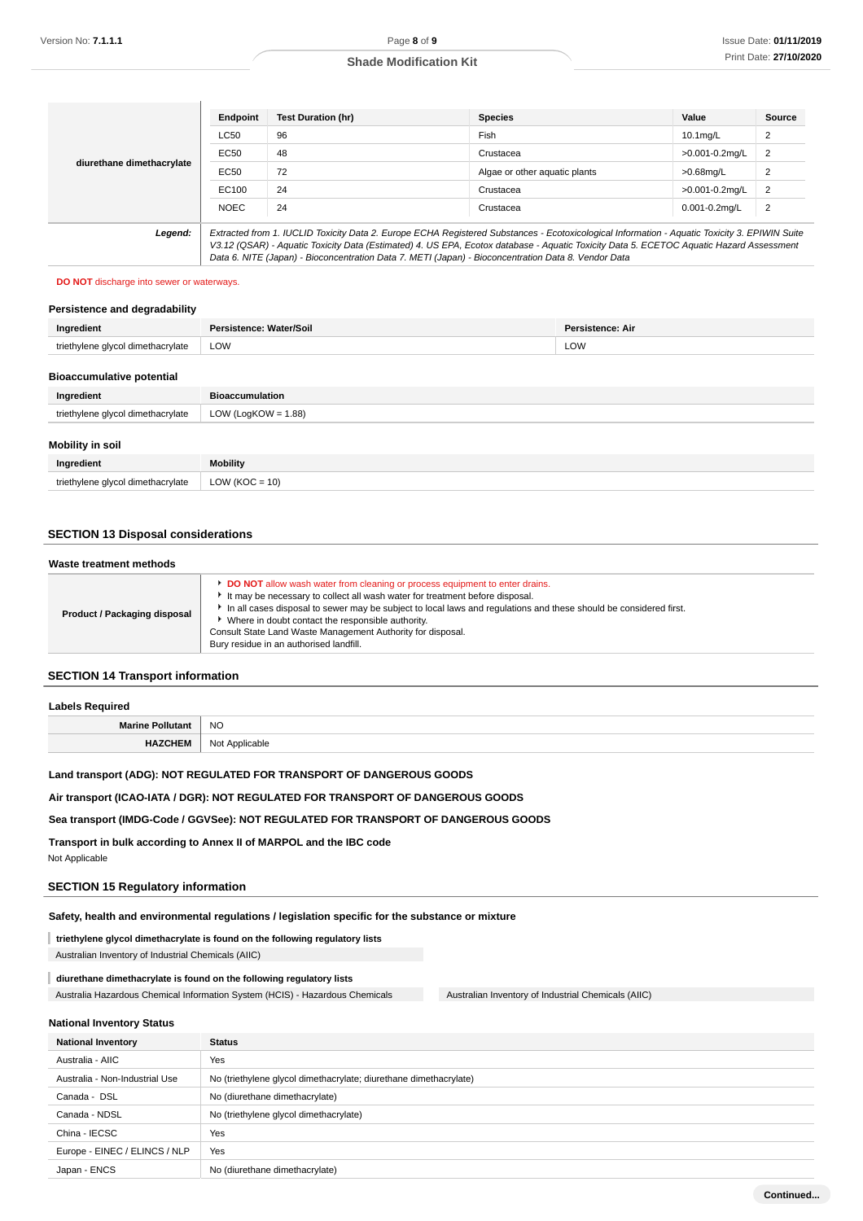**Continued...**

### **Shade Modification Kit**

|                                                                                                                                                                                                                                                                                                                                                                                                            | Endpoint    | <b>Test Duration (hr)</b> | <b>Species</b>                | Value              | <b>Source</b>  |
|------------------------------------------------------------------------------------------------------------------------------------------------------------------------------------------------------------------------------------------------------------------------------------------------------------------------------------------------------------------------------------------------------------|-------------|---------------------------|-------------------------------|--------------------|----------------|
| diurethane dimethacrylate                                                                                                                                                                                                                                                                                                                                                                                  | <b>LC50</b> | 96                        | Fish                          | $10.1$ ma/L        | $\overline{2}$ |
|                                                                                                                                                                                                                                                                                                                                                                                                            | EC50        | 48                        | Crustacea                     | >0.001-0.2mg/L     | $\overline{2}$ |
|                                                                                                                                                                                                                                                                                                                                                                                                            | EC50        | 72                        | Algae or other aquatic plants | $>0.68$ mg/L       | $\overline{2}$ |
|                                                                                                                                                                                                                                                                                                                                                                                                            | EC100       | 24                        | Crustacea                     | >0.001-0.2mg/L     | $\overline{2}$ |
|                                                                                                                                                                                                                                                                                                                                                                                                            | <b>NOEC</b> | 24                        | Crustacea                     | $0.001 - 0.2$ ma/L | $\overline{2}$ |
| Legend:<br>Extracted from 1. IUCLID Toxicity Data 2. Europe ECHA Registered Substances - Ecotoxicological Information - Aquatic Toxicity 3. EPIWIN Suite<br>V3.12 (QSAR) - Aquatic Toxicity Data (Estimated) 4. US EPA, Ecotox database - Aquatic Toxicity Data 5. ECETOC Aquatic Hazard Assessment<br>Data 6. NITE (Japan) - Bioconcentration Data 7. METI (Japan) - Bioconcentration Data 8. Vendor Data |             |                           |                               |                    |                |

### **DO NOT** discharge into sewer or waterways.

## **Persistence and degradability**

| Ingredient                        | Persistence: Water/Soil | <b>Persistence: Air</b> |
|-----------------------------------|-------------------------|-------------------------|
| triethylene glycol dimethacrylate | LOW                     | LOW                     |
| <b>Riogecumulative notantial</b>  |                         |                         |

### **Bioaccumulative potential**

| Ingredient                        | <b>Bioaccumulation</b> |
|-----------------------------------|------------------------|
| triethylene glycol dimethacrylate | LOW (LogKOW = $1.88$ ) |
| Mobility in soil                  |                        |
| Ingredient                        | <b>Mobility</b>        |
| triethylene glycol dimethacrylate | LOW ( $KOC = 10$ )     |

### **SECTION 13 Disposal considerations**

### **Waste treatment methods**

| <b>DO NOT</b> allow wash water from cleaning or process equipment to enter drains.<br>It may be necessary to collect all wash water for treatment before disposal.<br>In all cases disposal to sewer may be subject to local laws and regulations and these should be considered first.<br>Product / Packaging disposal<br>• Where in doubt contact the responsible authority.<br>Consult State Land Waste Management Authority for disposal. |  |                                         |  |
|-----------------------------------------------------------------------------------------------------------------------------------------------------------------------------------------------------------------------------------------------------------------------------------------------------------------------------------------------------------------------------------------------------------------------------------------------|--|-----------------------------------------|--|
|                                                                                                                                                                                                                                                                                                                                                                                                                                               |  | Bury residue in an authorised landfill. |  |

## **SECTION 14 Transport information**

| <b>Labels Required</b>  |                       |
|-------------------------|-----------------------|
| <b>Marine Pollutant</b> | <b>NO</b>             |
| <b>HAZCHEM</b>          | Not .<br>: Applicable |

### **Land transport (ADG): NOT REGULATED FOR TRANSPORT OF DANGEROUS GOODS**

### **Air transport (ICAO-IATA / DGR): NOT REGULATED FOR TRANSPORT OF DANGEROUS GOODS**

### **Sea transport (IMDG-Code / GGVSee): NOT REGULATED FOR TRANSPORT OF DANGEROUS GOODS**

**Transport in bulk according to Annex II of MARPOL and the IBC code**

Not Applicable

### **SECTION 15 Regulatory information**

### **Safety, health and environmental regulations / legislation specific for the substance or mixture**

### **triethylene glycol dimethacrylate is found on the following regulatory lists** I

Australian Inventory of Industrial Chemicals (AIIC)

### **diurethane dimethacrylate is found on the following regulatory lists**

Australia Hazardous Chemical Information System (HCIS) - Hazardous Chemicals Australian Inventory of Industrial Chemicals (AIIC)

### **National Inventory Status**

| <b>National Inventory</b>      | <b>Status</b>                                                     |  |  |
|--------------------------------|-------------------------------------------------------------------|--|--|
| Australia - AIIC               | Yes                                                               |  |  |
| Australia - Non-Industrial Use | No (triethylene glycol dimethacrylate; diurethane dimethacrylate) |  |  |
| Canada - DSL                   | No (diurethane dimethacrylate)                                    |  |  |
| Canada - NDSL                  | No (triethylene glycol dimethacrylate)                            |  |  |
| China - IECSC                  | Yes                                                               |  |  |
| Europe - EINEC / ELINCS / NLP  | Yes                                                               |  |  |
| Japan - ENCS                   | No (diurethane dimethacrylate)                                    |  |  |